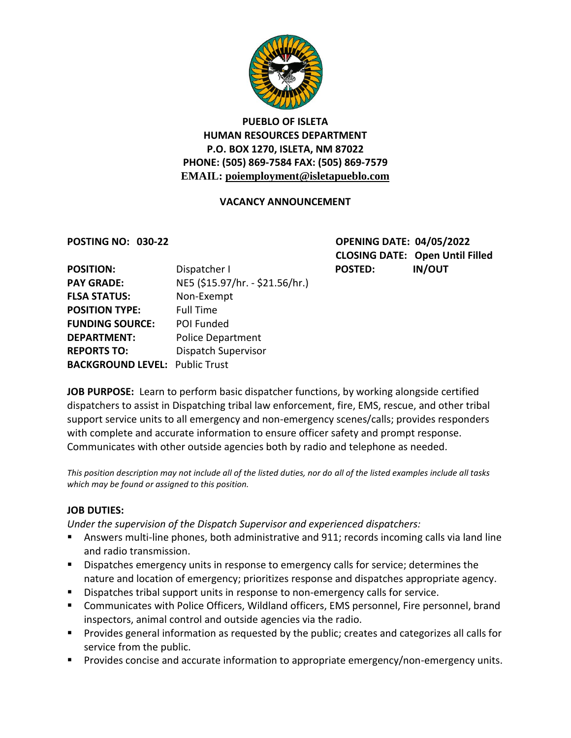

### **PUEBLO OF ISLETA HUMAN RESOURCES DEPARTMENT P.O. BOX 1270, ISLETA, NM 87022 PHONE: (505) 869-7584 FAX: (505) 869-7579 EMAIL: poiemployment@isletapueblo.com**

#### **VACANCY ANNOUNCEMENT**

**POSTING NO: 030-22 OPENING DATE: 04/05/2022 CLOSING DATE: Open Until Filled**

| <b>POSITION:</b>                      | Dispatcher I                    | <b>POSTED:</b> | <b>IN/OUT</b> |
|---------------------------------------|---------------------------------|----------------|---------------|
| <b>PAY GRADE:</b>                     | NE5 (\$15.97/hr. - \$21.56/hr.) |                |               |
| <b>FLSA STATUS:</b>                   | Non-Exempt                      |                |               |
| <b>POSITION TYPE:</b>                 | <b>Full Time</b>                |                |               |
| <b>FUNDING SOURCE:</b>                | POI Funded                      |                |               |
| <b>DEPARTMENT:</b>                    | <b>Police Department</b>        |                |               |
| <b>REPORTS TO:</b>                    | Dispatch Supervisor             |                |               |
| <b>BACKGROUND LEVEL: Public Trust</b> |                                 |                |               |

**JOB PURPOSE:** Learn to perform basic dispatcher functions, by working alongside certified dispatchers to assist in Dispatching tribal law enforcement, fire, EMS, rescue, and other tribal support service units to all emergency and non-emergency scenes/calls; provides responders with complete and accurate information to ensure officer safety and prompt response. Communicates with other outside agencies both by radio and telephone as needed.

*This position description may not include all of the listed duties, nor do all of the listed examples include all tasks which may be found or assigned to this position.*

#### **JOB DUTIES:**

*Under the supervision of the Dispatch Supervisor and experienced dispatchers:*

- Answers multi-line phones, both administrative and 911; records incoming calls via land line and radio transmission.
- **Dispatches emergency units in response to emergency calls for service; determines the** nature and location of emergency; prioritizes response and dispatches appropriate agency.
- **Dispatches tribal support units in response to non-emergency calls for service.**
- Communicates with Police Officers, Wildland officers, EMS personnel, Fire personnel, brand inspectors, animal control and outside agencies via the radio.
- **Provides general information as requested by the public; creates and categorizes all calls for** service from the public.
- **Provides concise and accurate information to appropriate emergency/non-emergency units.**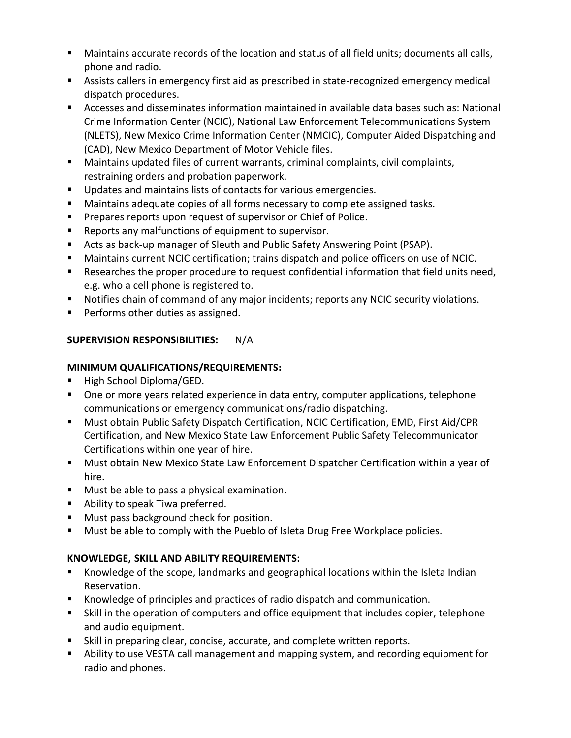- Maintains accurate records of the location and status of all field units; documents all calls, phone and radio.
- Assists callers in emergency first aid as prescribed in state-recognized emergency medical dispatch procedures.
- Accesses and disseminates information maintained in available data bases such as: National Crime Information Center (NCIC), National Law Enforcement Telecommunications System (NLETS), New Mexico Crime Information Center (NMCIC), Computer Aided Dispatching and (CAD), New Mexico Department of Motor Vehicle files.
- Maintains updated files of current warrants, criminal complaints, civil complaints, restraining orders and probation paperwork.
- **Updates and maintains lists of contacts for various emergencies.**
- Maintains adequate copies of all forms necessary to complete assigned tasks.
- **Prepares reports upon request of supervisor or Chief of Police.**
- **Reports any malfunctions of equipment to supervisor.**
- Acts as back-up manager of Sleuth and Public Safety Answering Point (PSAP).
- Maintains current NCIC certification; trains dispatch and police officers on use of NCIC.
- Researches the proper procedure to request confidential information that field units need, e.g. who a cell phone is registered to.
- Notifies chain of command of any major incidents; reports any NCIC security violations.
- **Performs other duties as assigned.**

#### **SUPERVISION RESPONSIBILITIES:** N/A

#### **MINIMUM QUALIFICATIONS/REQUIREMENTS:**

- High School Diploma/GED.
- One or more years related experience in data entry, computer applications, telephone communications or emergency communications/radio dispatching.
- Must obtain Public Safety Dispatch Certification, NCIC Certification, EMD, First Aid/CPR Certification, and New Mexico State Law Enforcement Public Safety Telecommunicator Certifications within one year of hire.
- Must obtain New Mexico State Law Enforcement Dispatcher Certification within a year of hire.
- Must be able to pass a physical examination.
- **Ability to speak Tiwa preferred.**
- **Must pass background check for position.**
- **Must be able to comply with the Pueblo of Isleta Drug Free Workplace policies.**

#### **KNOWLEDGE, SKILL AND ABILITY REQUIREMENTS:**

- Knowledge of the scope, landmarks and geographical locations within the Isleta Indian Reservation.
- Knowledge of principles and practices of radio dispatch and communication.
- Skill in the operation of computers and office equipment that includes copier, telephone and audio equipment.
- Skill in preparing clear, concise, accurate, and complete written reports.
- Ability to use VESTA call management and mapping system, and recording equipment for radio and phones.